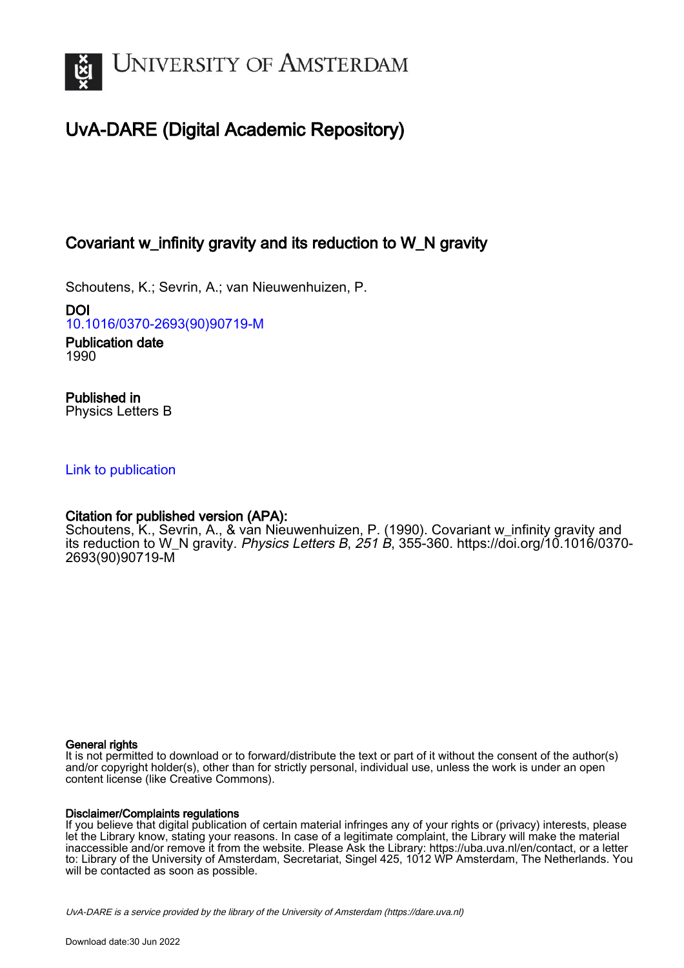

# UvA-DARE (Digital Academic Repository)

# Covariant w\_infinity gravity and its reduction to W\_N gravity

Schoutens, K.; Sevrin, A.; van Nieuwenhuizen, P.

DOI [10.1016/0370-2693\(90\)90719-M](https://doi.org/10.1016/0370-2693(90)90719-M)

Publication date 1990

Published in Physics Letters B

## [Link to publication](https://dare.uva.nl/personal/pure/en/publications/covariant-winfinity-gravity-and-its-reduction-to-wn-gravity(d4ba395e-8ded-4c5c-b298-ad887a187219).html)

# Citation for published version (APA):

Schoutens, K., Sevrin, A., & van Nieuwenhuizen, P. (1990). Covariant w\_infinity gravity and its reduction to W\_N gravity. Physics Letters B, 251 B, 355-360. [https://doi.org/10.1016/0370-](https://doi.org/10.1016/0370-2693(90)90719-M) [2693\(90\)90719-M](https://doi.org/10.1016/0370-2693(90)90719-M)

### General rights

It is not permitted to download or to forward/distribute the text or part of it without the consent of the author(s) and/or copyright holder(s), other than for strictly personal, individual use, unless the work is under an open content license (like Creative Commons).

### Disclaimer/Complaints regulations

If you believe that digital publication of certain material infringes any of your rights or (privacy) interests, please let the Library know, stating your reasons. In case of a legitimate complaint, the Library will make the material inaccessible and/or remove it from the website. Please Ask the Library: https://uba.uva.nl/en/contact, or a letter to: Library of the University of Amsterdam, Secretariat, Singel 425, 1012 WP Amsterdam, The Netherlands. You will be contacted as soon as possible.

UvA-DARE is a service provided by the library of the University of Amsterdam (http*s*://dare.uva.nl)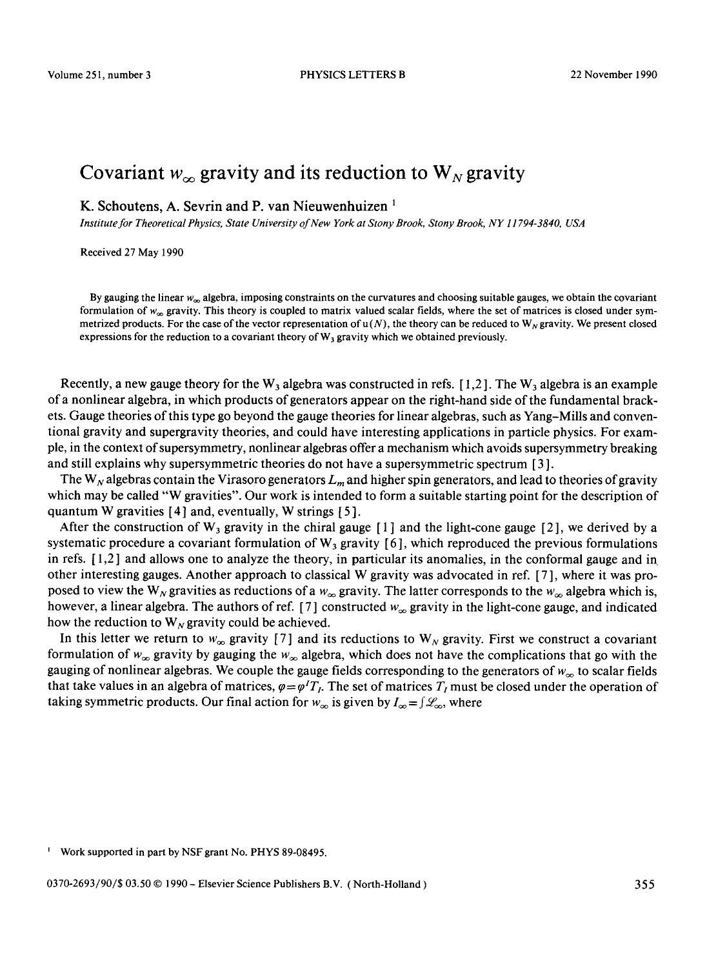## Covariant  $w_{\infty}$  gravity and its reduction to  $W_N$  gravity

K. Schoutens, A. Sevrin and P. van Nieuwenhuizen<sup>1</sup>

*Institute for Theoretical Physics, State University of New York at Stony Brook, Stony Brook, NY 11794-3840, USA* 

Received 27 May 1990

By gauging the linear  $w_{\infty}$  algebra, imposing constraints on the curvatures and choosing suitable gauges, we obtain the covariant formulation of  $w_{\infty}$  gravity. This theory is coupled to matrix valued scalar fields, where the set of matrices is closed under symmetrized products. For the case of the vector representation of  $u(N)$ , the theory can be reduced to  $W_N$  gravity. We present closed expressions for the reduction to a covariant theory of  $W_3$  gravity which we obtained previously.

Recently, a new gauge theory for the W<sub>3</sub> algebra was constructed in refs. [1,2]. The W<sub>3</sub> algebra is an example of a nonlinear algebra, in which products of generators appear on the right-hand side of the fundamental brackets. Gauge theories of this type go beyond the gauge theories for linear algebras, such as Yang-Mills and conventional gravity and supergravity theories, and could have interesting applications in particle physics. For example, in the context of supersymmetry, nonlinear algebras offer a mechanism which avoids supersymmetry breaking and still explains why supersymmetric theories do not have a supersymmetric spectrum [ 3 ].

The W<sub>N</sub> algebras contain the Virasoro generators  $L_m$  and higher spin generators, and lead to theories of gravity which may be called "W gravities". Our work is intended to form a suitable starting point for the description of quantum W gravities  $[4]$  and, eventually, W strings  $[5]$ .

After the construction of  $W_3$  gravity in the chiral gauge [1] and the light-cone gauge [2], we derived by a systematic procedure a covariant formulation of  $W_3$  gravity [6], which reproduced the previous formulations in refs. [ 1,2 ] and allows one to analyze the theory, in particular its anomalies, in the conformal gauge and in other interesting gauges. Another approach to classical W gravity was advocated in ref. [ 7 ], where it was proposed to view the W<sub>N</sub> gravities as reductions of a  $w_{\infty}$  gravity. The latter corresponds to the  $w_{\infty}$  algebra which is, however, a linear algebra. The authors of ref. [7] constructed  $w_{\infty}$  gravity in the light-cone gauge, and indicated how the reduction to  $W_N$  gravity could be achieved.

In this letter we return to  $w_{\infty}$  gravity [7] and its reductions to  $W_N$  gravity. First we construct a covariant formulation of  $w_{\infty}$  gravity by gauging the  $w_{\infty}$  algebra, which does not have the complications that go with the gauging of nonlinear algebras. We couple the gauge fields corresponding to the generators of  $w_{\infty}$  to scalar fields that take values in an algebra of matrices,  $\varphi = \varphi^T T_I$ . The set of matrices  $T_I$  must be closed under the operation of taking symmetric products. Our final action for  $w_{\infty}$  is given by  $I_{\infty} = \int \mathcal{L}_{\infty}$ , where

<sup>1</sup> Work supported in part by NSF grant No. PHYS 89-08495.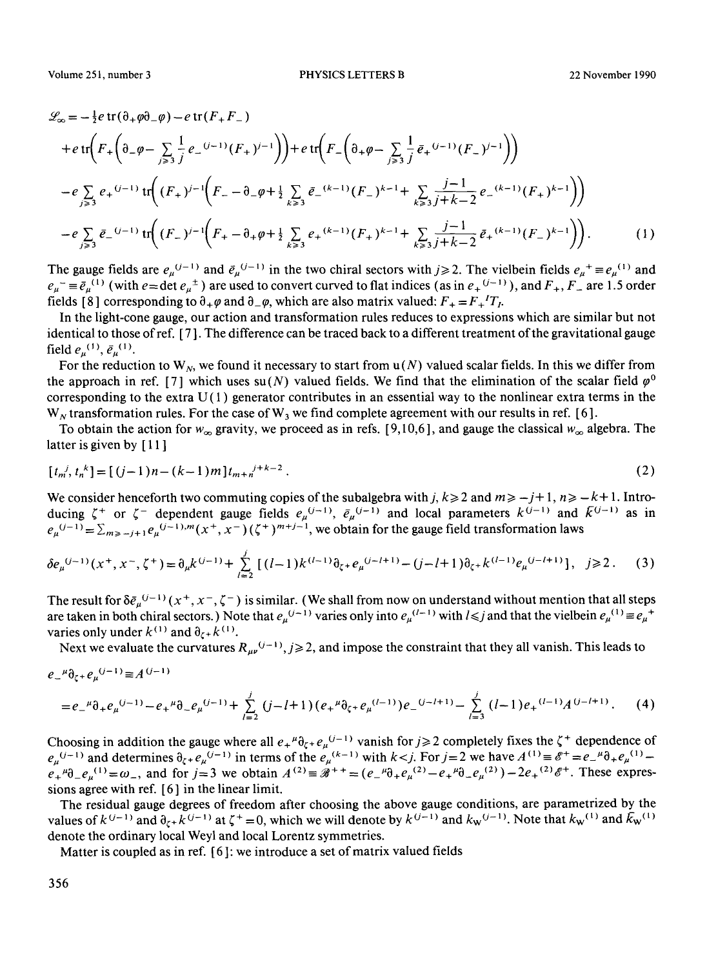$$
\mathcal{L}_{\infty} = -\frac{1}{2}e \operatorname{tr}(\partial_{+}\varphi \partial_{-}\varphi) - e \operatorname{tr}(F_{+}F_{-})
$$
\n
$$
+ e \operatorname{tr}\left(F_{+}\left(\partial_{-}\varphi - \sum_{j\geqslant 3} \frac{1}{j}e_{-}^{(j-1)}(F_{+})^{j-1}\right)\right) + e \operatorname{tr}\left(F_{-}\left(\partial_{+}\varphi - \sum_{j\geqslant 3} \frac{1}{j}\bar{e}_{+}^{(j-1)}(F_{-})^{j-1}\right)\right)
$$
\n
$$
- e \sum_{j\geqslant 3} e_{+}^{(j-1)} \operatorname{tr}\left((F_{+})^{j-1}\left(F_{-} - \partial_{-}\varphi + \frac{1}{2}\sum_{k\geqslant 3} \bar{e}_{-}^{(k-1)}(F_{-})^{k-1} + \sum_{k\geqslant 3} \frac{j-1}{j+k-2}e_{-}^{(k-1)}(F_{+})^{k-1}\right)\right)
$$
\n
$$
- e \sum_{j\geqslant 3} \bar{e}_{-}^{(j-1)} \operatorname{tr}\left((F_{-})^{j-1}\left(F_{+} - \partial_{+}\varphi + \frac{1}{2}\sum_{k\geqslant 3} e_{+}^{(k-1)}(F_{+})^{k-1} + \sum_{k\geqslant 3} \frac{j-1}{j+k-2}\bar{e}_{+}^{(k-1)}(F_{-})^{k-1}\right)\right).
$$
\n(1)

The gauge fields are  $e_{\mu}^{(j-1)}$  and  $\bar{e}_{\mu}^{(j-1)}$  in the two chiral sectors with  $j \ge 2$ . The vielbein fields  $e_{\mu}^{+} \equiv e_{\mu}^{(1)}$  and  $e_u = \bar{e}_u^{(1)}$  (with  $e = \det e_u^{\pm}$ ) are used to convert curved to flat indices (as in  $e_+^{(i-1)}$ ), and  $F_+$ ,  $F_-$  are 1.5 order fields [8] corresponding to  $\partial_+ \varphi$  and  $\partial_- \varphi$ , which are also matrix valued:  $F_+ = F_+{}^T T_I$ .

In the light-cone gauge, our action and transformation rules reduces to expressions which are similar but not identical to those ofref. [ 7 ]. The difference can be traced back to a different treatment of the gravitational gauge field  $e_n^{(1)}, \bar{e}_n^{(1)}$ .

For the reduction to W<sub>N</sub>, we found it necessary to start from  $u(N)$  valued scalar fields. In this we differ from the approach in ref. [7] which uses su(N) valued fields. We find that the elimination of the scalar field  $\varphi^0$ corresponding to the extra  $U(1)$  generator contributes in an essential way to the nonlinear extra terms in the  $W_N$  transformation rules. For the case of  $W_3$  we find complete agreement with our results in ref. [6].

To obtain the action for  $w_{\infty}$  gravity, we proceed as in refs. [9,10,6], and gauge the classical  $w_{\infty}$  algebra. The latter is given by [11]

$$
[t_m^j, t_n^k] = [(j-1)n - (k-1)m]t_{m+n}^{j+k-2}.
$$
\n(2)

We consider henceforth two commuting copies of the subalgebra with j,  $k \ge 2$  and  $m \ge -j+1$ ,  $n \ge -k+1$ . Introducing  $\zeta^+$  or  $\zeta^-$  dependent gauge fields  $e_\mu^{(U-1)}, \bar{e}_\mu^{(U-1)}$  and local parameters  $k^{(U-1)}$  and  $k^{(U-1)}$  as in  $e_u^{(j-1)} = \sum_{m \ge j} e_u^{(j-1),m}(x^+,x^-)$  ( $\zeta^+$ )<sup> $m+j-1$ </sup>, we obtain for the gauge field transformation laws

$$
\delta e_{\mu}^{(j-1)}(x^+, x^-, \zeta^+) = \partial_{\mu} k^{(j-1)} + \sum_{l=2}^{j} \left[ (l-1)k^{(l-1)} \partial_{\zeta^+} e_{\mu}^{(j-l+1)} - (j-l+1) \partial_{\zeta^+} k^{(l-1)} e_{\mu}^{(j-l+1)} \right], \quad j \ge 2. \tag{3}
$$

The result for  $\delta \bar{e}_{\mu}^{(j-1)}(x^+, x^-, \zeta^-)$  is similar. (We shall from now on understand without mention that all steps are taken in both chiral sectors.) Note that  $e_{\mu}^{(j-1)}$  varies only into  $e_{\mu}^{(l-1)}$  with  $l \leq j$  and that the vielbein  $e_{\mu}^{(1)} \equiv e_{\mu}^{(1)}$ varies only under  $k^{(1)}$  and  $\partial_{\zeta} k^{(1)}$ .

Next we evaluate the curvatures  $R_{\mu\nu}^{(j-1)}$ ,  $j \ge 2$ , and impose the constraint that they all vanish. This leads to

$$
e_{-}^{\mu}\partial_{\zeta^{+}}e_{\mu}^{(j-1)} \equiv A^{(j-1)} - e_{+}^{\mu}\partial_{-}e_{\mu}^{(j-1)} + \sum_{l=2}^{j} (j-l+1)(e_{+}^{\mu}\partial_{\zeta^{+}}e_{\mu}^{(l-1)})e_{-}^{(j-l+1)} - \sum_{l=3}^{j} (l-1)e_{+}^{(l-1)}A^{(j-l+1)}.
$$
 (4)

Choosing in addition the gauge where all  $e_+^{\mu} \partial_{\zeta^+} e_{\mu}^{(U-1)}$  vanish for  $j \geq 2$  completely fixes the  $\zeta^+$  dependence of  $e_n^{(j-1)}$  and determines  $\partial_{\zeta^+} e_n^{(j-1)}$  in terms of the  $e_n^{(k-1)}$  with  $k \lt j$ . For  $j=2$  we have  $A^{(1)} = \mathscr{E}^+ = e_{-}^{\mu} \partial_{\mu} e_{\mu}^{(1)}$  $e_+{}^{\mu}0_-\cdot e_{\mu}{}^{(1)}=\omega_-,$  and for  $j=3$  we obtain  $A^{(2)}\equiv A^{++}=(e_-{}^{\mu}0_+e_{\mu}{}^{(2)}-e_+{}^{\mu}0_-\cdot e_{\mu}{}^{(2)})-2e_+{}^{(2)}e^+$ . These expressions agree with ref. [ 6 ] in the linear limit.

The residual gauge degrees of freedom after choosing the above gauge conditions, are parametrized by the values of  $k^{(j-1)}$  and  $\partial_{\zeta k} k^{(j-1)}$  at  $\zeta^+ = 0$ , which we will denote by  $k^{(j-1)}$  and  $k_w^{(j-1)}$ . Note that  $k_w^{(1)}$  and  $k_w^{(1)}$ denote the ordinary local Weyl and local Lorentz symmetries.

Matter is coupled as in ref. [ 6 ]: we introduce a set of matrix valued fields

356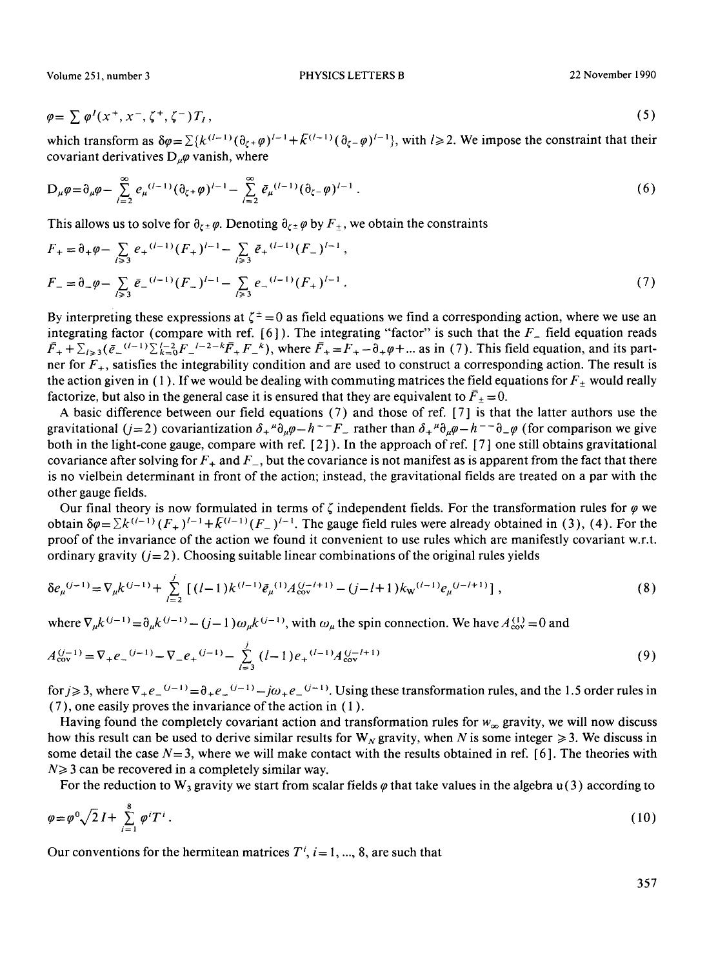Volume 251, number 3 PHYSICS LETTERS B 22 November 1990

$$
\varphi = \sum \varphi^I(x^+, x^-, \zeta^+, \zeta^-) T_I, \qquad (5)
$$

which transform as  $\delta \varphi = \sum \{k^{(l-1)} (\partial_{\zeta^+} \varphi)^{l-1} + k^{(l-1)} (\partial_{\zeta^-} \varphi)^{l-1}\}$ , with  $l \geq 2$ . We impose the constraint that their covariant derivatives  $D_u\varphi$  vanish, where

$$
D_{\mu}\varphi = \partial_{\mu}\varphi - \sum_{l=2}^{\infty} e_{\mu}^{(l-1)}(\partial_{\zeta^{+}}\varphi)^{l-1} - \sum_{l=2}^{\infty} \bar{e}_{\mu}^{(l-1)}(\partial_{\zeta^{-}}\varphi)^{l-1}.
$$
 (6)

This allows us to solve for  $\partial_{\zeta} \phi$ . Denoting  $\partial_{\zeta} \phi$  by  $F_{\pm}$ , we obtain the constraints

$$
F_{+} = \partial_{+} \varphi - \sum_{l \ge 3} e_{+}^{(l-1)} (F_{+})^{l-1} - \sum_{l \ge 3} \bar{e}_{+}^{(l-1)} (F_{-})^{l-1},
$$
  
\n
$$
F_{-} = \partial_{-} \varphi - \sum_{l \ge 3} \bar{e}_{-}^{(l-1)} (F_{-})^{l-1} - \sum_{l \ge 3} e_{-}^{(l-1)} (F_{+})^{l-1}.
$$
\n(7)

By interpreting these expressions at  $\zeta^{\pm} = 0$  as field equations we find a corresponding action, where we use an integrating factor (compare with ref.  $[6]$ ). The integrating "factor" is such that the  $F_{-}$  field equation reads  $\bar{F}_+ + \sum_{k=3}(\bar{e}_-^{(l-1)}\sum_{k=0}^{l-2}F_{-}^{(l-2-k}\bar{F}_+F_{-}^k))$ , where  $\bar{F}_+ = F_+ - \partial_+\varphi + ...$  as in (7). This field equation, and its partner for  $F_{+}$ , satisfies the integrability condition and are used to construct a corresponding action. The result is the action given in (1). If we would be dealing with commuting matrices the field equations for  $F_{\pm}$  would really factorize, but also in the general case it is ensured that they are equivalent to  $\bar{F}_+ = 0$ .

A basic difference between our field equations (7) and those of ref. [ 7 ] is that the latter authors use the gravitational (j=2) covariantization  $\delta_+^{\mu} \partial_{\mu} \varphi - h^{-} F_{-}$  rather than  $\delta_+^{\mu} \partial_{\mu} \varphi - h^{-} \partial_{-\varphi}$  (for comparison we give both in the light-cone gauge, compare with ref.  $[2]$ . In the approach of ref.  $[7]$  one still obtains gravitational covariance after solving for  $F_+$  and  $F_-$ , but the covariance is not manifest as is apparent from the fact that there is no vielbein determinant in front of the action; instead, the gravitational fields are treated on a par with the other gauge fields.

Our final theory is now formulated in terms of  $\zeta$  independent fields. For the transformation rules for  $\varphi$  we obtain  $\delta \varphi = \sum k^{(\ell-1)} (F_+)^{\ell-1} + k^{(\ell-1)} (F_-)^{\ell-1}$ . The gauge field rules were already obtained in (3), (4). For the proof of the invariance of the action we found it convenient to use rules which are manifestly covariant w.r.t. ordinary gravity  $(j=2)$ . Choosing suitable linear combinations of the original rules yields

$$
\delta e_{\mu}^{(j-1)} = \nabla_{\mu} k^{(j-1)} + \sum_{l=2}^{j} \left[ (l-1) k^{(l-1)} \bar{e}_{\mu}^{(1)} A_{\text{cov}}^{(j-l+1)} - (j-l+1) k_{\text{w}}^{(l-1)} e_{\mu}^{(j-l+1)} \right],\tag{8}
$$

where  $\nabla_{\mu}k^{(j-1)} = \partial_{\mu}k^{(j-1)} - (j-1)\omega_{\mu}k^{(j-1)}$ , with  $\omega_{\mu}$  the spin connection. We have  $A_{\text{cov}}^{(1)} = 0$  and

$$
A_{\text{cov}}^{(j-1)} = \nabla_{+} e_{-}^{(j-1)} - \nabla_{-} e_{+}^{(j-1)} - \sum_{l=3}^{j} (l-1) e_{+}^{(l-1)} A_{\text{cov}}^{(j-l+1)}
$$
(9)

for  $j \ge 3$ , where  $\nabla_+ e^{(-j-1)} = \partial_+ e^{(-j-1)} - j\omega_+ e^{(-j-1)}$ . Using these transformation rules, and the 1.5 order rules in (7), one easily proves the invariance of the action in ( 1 ).

Having found the completely covariant action and transformation rules for  $w_{\infty}$  gravity, we will now discuss how this result can be used to derive similar results for  $W_N$  gravity, when N is some integer  $\geq 3$ . We discuss in some detail the case  $N=3$ , where we will make contact with the results obtained in ref. [6]. The theories with  $N \geq 3$  can be recovered in a completely similar way.

For the reduction to W<sub>3</sub> gravity we start from scalar fields  $\varphi$  that take values in the algebra u(3) according to

$$
\varphi = \varphi^0 \sqrt{2} I + \sum_{i=1}^8 \varphi^i T^i \,. \tag{10}
$$

Our conventions for the hermitean matrices  $T^i$ ,  $i=1, ..., 8$ , are such that

357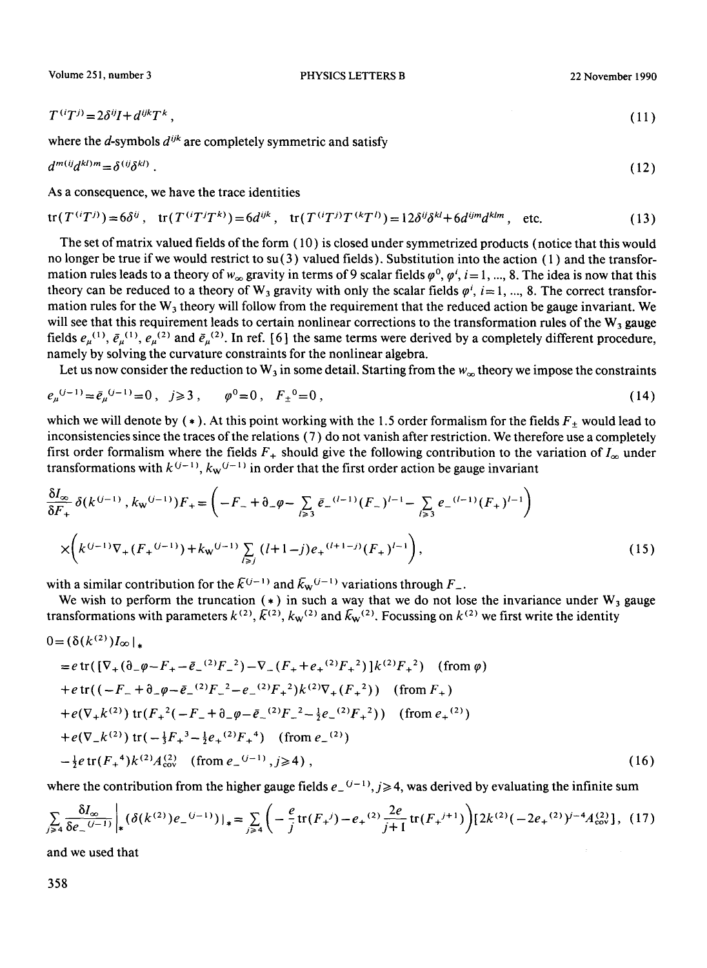Volume 251, number 3 PHYSICS LETTERS B 22 November 1990

 $\lambda$ 

$$
T^{(i}T^{j)} = 2\delta^{ij}I + d^{ijk}T^{k},\tag{11}
$$

where the  $d$ -symbols  $d^{ijk}$  are completely symmetric and satisfy

$$
d^{m(i)}d^{kl)m} = \delta^{(ij}\delta^{kl)}\,. \tag{12}
$$

As a consequence, we have the trace identities

$$
\text{tr}(T^{(i}T^{j})) = 6\delta^{ij}, \quad \text{tr}(T^{(i}T^{j}T^{k})) = 6d^{ijk}, \quad \text{tr}(T^{(i}T^{j})T^{(k}T^{l)}) = 12\delta^{ij}\delta^{kl} + 6d^{ijm}d^{klm}, \quad \text{etc.}
$$
\n(13)

The set of matrix valued fields of the form ( 10 ) is closed under symmetrized products (notice that this would no longer be true if we would restrict to su(3) valued fields). Substitution into the action (1) and the transformation rules leads to a theory of  $w_{\infty}$  gravity in terms of 9 scalar fields  $\varphi^0$ ,  $\varphi^i$ ,  $i = 1, ..., 8$ . The idea is now that this theory can be reduced to a theory of W<sub>3</sub> gravity with only the scalar fields  $\varphi^i$ ,  $i=1, ..., 8$ . The correct transformation rules for the  $W_3$  theory will follow from the requirement that the reduced action be gauge invariant. We will see that this requirement leads to certain nonlinear corrections to the transformation rules of the  $W_3$  gauge fields  $e_\mu^{(1)}$ ,  $\bar{e}_\mu^{(1)}$ ,  $e_\mu^{(2)}$  and  $\bar{e}_\mu^{(2)}$ . In ref. [6] the same terms were derived by a completely different procedure, namely by solving the curvature constraints for the nonlinear algebra.

Let us now consider the reduction to  $W_3$  in some detail, Starting from the  $w_{\infty}$  theory we impose the constraints

$$
e_{\mu}^{(j-1)} = \bar{e}_{\mu}^{(j-1)} = 0, \quad j \ge 3, \qquad \varphi^0 = 0, \quad F_{\pm}^0 = 0, \tag{14}
$$

which we will denote by  $(*)$ . At this point working with the 1.5 order formalism for the fields  $F_{+}$  would lead to inconsistencies since the traces of the relations (7) do not vanish after restriction. We therefore use a completely first order formalism where the fields  $F_+$  should give the following contribution to the variation of  $I_\infty$  under transformations with  $k^{(j-1)}$ ,  $k_{w}$ <sup> $(j-1)$ </sup> in order that the first order action be gauge invariant

$$
\frac{\delta I_{\infty}}{\delta F_{+}} \delta(k^{(j-1)}, k_{\mathbf{w}}^{(j-1)}) F_{+} = \left( -F_{-} + \partial_{-}\varphi - \sum_{l \geq 3} \bar{e}_{-}^{(l-1)} (F_{-})^{l-1} - \sum_{l \geq 3} e_{-}^{(l-1)} (F_{+})^{l-1} \right)
$$

$$
\times \left( k^{(j-1)} \nabla_{+} (F_{+}^{(j-1)}) + k_{\mathbf{w}}^{(j-1)} \sum_{l \geq j} (l+1-j) e_{+}^{(l+1-j)} (F_{+})^{l-1} \right), \tag{15}
$$

with a similar contribution for the  $\bar{K}^{(j-1)}$  and  $\bar{K}_{w}^{(j-1)}$  variations through  $F_{-}$ .

We wish to perform the truncation  $(*)$  in such a way that we do not lose the invariance under W<sub>3</sub> gauge transformations with parameters  $k^{(2)}$ ,  $\bar{k}^{(2)}$ ,  $k_w^{(2)}$  and  $\bar{k}_w^{(2)}$ . Focussing on  $k^{(2)}$  we first write the identity

$$
0 = (\delta(k^{(2)})I_{\infty}|_{*}
$$
  
\n
$$
= e \operatorname{tr}([\nabla_{+}(\delta_{-}\varphi - F_{+} - \bar{e}_{-}^{(2)}F_{-}^{2}) - \nabla_{-}(F_{+} + e_{+}^{(2)}F_{+}^{2})]k^{(2)}F_{+}^{2}) \quad (\text{from } \varphi)
$$
  
\n
$$
+ e \operatorname{tr}((-F_{-} + \delta_{-}\varphi - \bar{e}_{-}^{(2)}F_{-}^{2} - e_{-}^{(2)}F_{+}^{2})k^{(2)}\nabla_{+}(F_{+}^{2})) \quad (\text{from } F_{+})
$$
  
\n
$$
+ e(\nabla_{+}k^{(2)}) \operatorname{tr}(F_{+}^{2}(-F_{-} + \delta_{-}\varphi - \bar{e}_{-}^{(2)}F_{-}^{2} - \frac{1}{2}e_{-}^{(2)}F_{+}^{2})) \quad (\text{from } e_{+}^{(2)})
$$
  
\n
$$
+ e(\nabla_{-}k^{(2)}) \operatorname{tr}(-\frac{1}{3}F_{+}^{3} - \frac{1}{2}e_{+}^{(2)}F_{+}^{4}) \quad (\text{from } e_{-}^{(2)})
$$
  
\n
$$
- \frac{1}{2}e \operatorname{tr}(F_{+}^{4})k^{(2)}A_{\text{cov}}^{(2)} \quad (\text{from } e_{-}^{(j-1)}, j \ge 4), \qquad (16)
$$

where the contribution from the higher gauge fields  $e^{(-1)}$ ,  $j \ge 4$ , was derived by evaluating the infinite sum

$$
\sum_{j\geqslant 4} \frac{\delta I_{\infty}}{\delta e_{-}^{(j-1)}} \bigg|_{*} (\delta(k^{(2)}) e_{-}^{(j-1)}) \big|_{*} = \sum_{j\geqslant 4} \bigg( -\frac{e}{j} \text{tr}(F_{+}^{j}) - e_{+}^{(2)} \frac{2e}{j+1} \text{tr}(F_{+}^{j+1}) \bigg) [2k^{(2)}(-2e_{+}^{(2)})^{j-4}A_{\text{cov}}^{(2)}], \tag{17}
$$

and we used that

358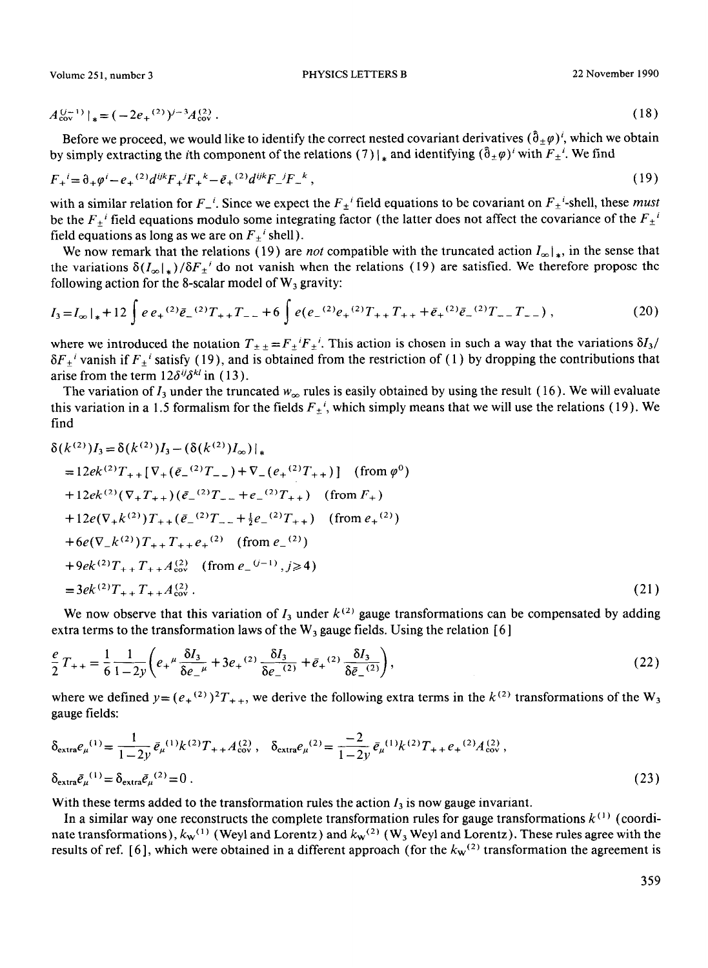Volume 25 **1,** number 3 PHYSICS LETTERS B 22 November 1990

$$
A_{\text{cov}}^{(j-1)}|_* = (-2e_+^{(2)})^{j-3} A_{\text{cov}}^{(2)}.
$$
 (18)

Before we proceed, we would like to identify the correct nested covariant derivatives  $(\hat{\theta}_+ \varphi)^i$ , which we obtain by simply extracting the *i*th component of the relations (7) |  $*$  and identifying  $(\hat{\theta}_\pm \varphi)'$  with  $F_\pm$ <sup>'</sup>. We find

$$
F_{+}{}^{i} = \partial_{+} \varphi^{i} - e_{+}{}^{(2)} d^{ijk} F_{+}{}^{jk} F_{+}{}^{k} - \bar{e}_{+}{}^{(2)} d^{ijk} F_{-}{}^{j} F_{-}{}^{k} , \qquad (19)
$$

with a similar relation for  $F_{-}$ <sup>'</sup>. Since we expect the  $F_{+}$ <sup>'</sup> field equations to be covariant on  $F_{+}$ <sup>'</sup>-shell, these *must* be the  $F_+$ <sup>*i*</sup> field equations modulo some integrating factor (the latter does not affect the covariance of the  $F_+$ <sup>*i*</sup> field equations as long as we are on  $F_{\pm}$ <sup>*i*</sup> shell).

We now remark that the relations (19) are *not* compatible with the truncated action  $I_{\infty}|_*$ , in the sense that the variations  $\delta(I_{\infty}|_*)/\delta F_{\pm}$ <sup>t</sup> do not vanish when the relations (19) are satisfied. We therefore propose the following action for the 8-scalar model of  $W_3$  gravity:

$$
I_3 = I_\infty|_{*} + 12 \int e e_+ {}^{(2)} \bar{e}_- {}^{(2)} T_{++} T_{--} + 6 \int e (e_- {}^{(2)} e_+ {}^{(2)} T_{++} T_{++} + \bar{e}_+ {}^{(2)} \bar{e}_- {}^{(2)} T_{--} T_{--}) , \qquad (20)
$$

where we introduced the notation  $T_{\pm\pm} = F_{\pm}^i F_{\pm}^i$ . This action is chosen in such a way that the variations  $\delta I_3$ /  $\delta F_{+}$ <sup>*i*</sup> vanish if  $F_{+}$ <sup>*i*</sup> satisfy (19), and is obtained from the restriction of (1) by dropping the contributions that arise from the term  $12\delta^{ij}\delta^{kl}$  in (13).

The variation of  $I_3$  under the truncated  $w_\infty$  rules is easily obtained by using the result (16). We will evaluate this variation in a 1.5 formalism for the fields  $F_{\pm}$ <sup>'</sup>, which simply means that we will use the relations (19). We find

$$
\delta(k^{(2)})I_{3} = \delta(k^{(2)})I_{3} - (\delta(k^{(2)})I_{\infty})|_{*}
$$
  
= 12ek<sup>(2)</sup>T<sub>++</sub>[ $\nabla_{+}(\bar{e}_{-}^{(2)}T_{--}) + \nabla_{-}(e_{+}^{(2)}T_{++})$ ] (from  $\varphi^{0}$ )  
+ 12ek<sup>(2)</sup>( $\nabla_{+}T_{++}$ )( $\bar{e}_{-}^{(2)}T_{--} + e_{-}^{(2)}T_{++}$ ) (from  $F_{+}$ )  
+ 12e( $\nabla_{+}k^{(2)}$ )T<sub>++</sub>( $\bar{e}_{-}^{(2)}T_{--} + \frac{1}{2}e_{-}^{(2)}T_{++}$ ) (from  $e_{+}^{(2)}$ )  
+ 6e( $\nabla_{-}k^{(2)}$ )T<sub>++</sub>T<sub>++</sub>+ $e_{+}^{(2)}$  (from  $e_{-}^{(2)}$ )  
+9ek<sup>(2)</sup>T<sub>++</sub>T<sub>++</sub>A<sup>(2)</sup><sub>cov</sub> (from  $e_{-}^{(j-1)}$ ,  $j \ge 4$ )  
= 3ek<sup>(2)</sup>T<sub>++</sub>T<sub>++</sub>A<sup>(2)</sup><sub>cov</sub>. (21)

We now observe that this variation of  $I_3$  under  $k^{(2)}$  gauge transformations can be compensated by adding extra terms to the transformation laws of the  $W_3$  gauge fields. Using the relation [6]

$$
\frac{e}{2}T_{++} = \frac{1}{6} \frac{1}{1-2y} \left( e_{+}{}^{\mu} \frac{\delta I_3}{\delta e_{-}{}^{\mu}} + 3 e_{+}{}^{(2)} \frac{\delta I_3}{\delta e_{-}{}^{(2)}} + \bar{e}_{+}{}^{(2)} \frac{\delta I_3}{\delta \bar{e}_{-}{}^{(2)}} \right),\tag{22}
$$

where we defined  $y = (e_+^{(2)})^2 T_{++}$ , we derive the following extra terms in the  $k^{(2)}$  transformations of the W<sub>3</sub> gauge fields:

$$
\delta_{\text{extra}} e_{\mu}^{(1)} = \frac{1}{1 - 2y} \bar{e}_{\mu}^{(1)} k^{(2)} T_{++} A_{\text{cov}}^{(2)}, \quad \delta_{\text{extra}} e_{\mu}^{(2)} = \frac{-2}{1 - 2y} \bar{e}_{\mu}^{(1)} k^{(2)} T_{++} e_{+}^{(2)} A_{\text{cov}}^{(2)},
$$
\n
$$
\delta_{\text{extra}} \bar{e}_{\mu}^{(1)} = \delta_{\text{extra}} \bar{e}_{\mu}^{(2)} = 0.
$$
\n(23)

With these terms added to the transformation rules the action  $I_3$  is now gauge invariant.

In a similar way one reconstructs the complete transformation rules for gauge transformations  $k^{(1)}$  (coordinate transformations),  $k_w$ <sup>(1)</sup> (Weyl and Lorentz) and  $k_w$ <sup>(2)</sup> (W<sub>3</sub> Weyl and Lorentz). These rules agree with the results of ref. [6], which were obtained in a different approach (for the  $k_w$ <sup>(2)</sup> transformation the agreement is